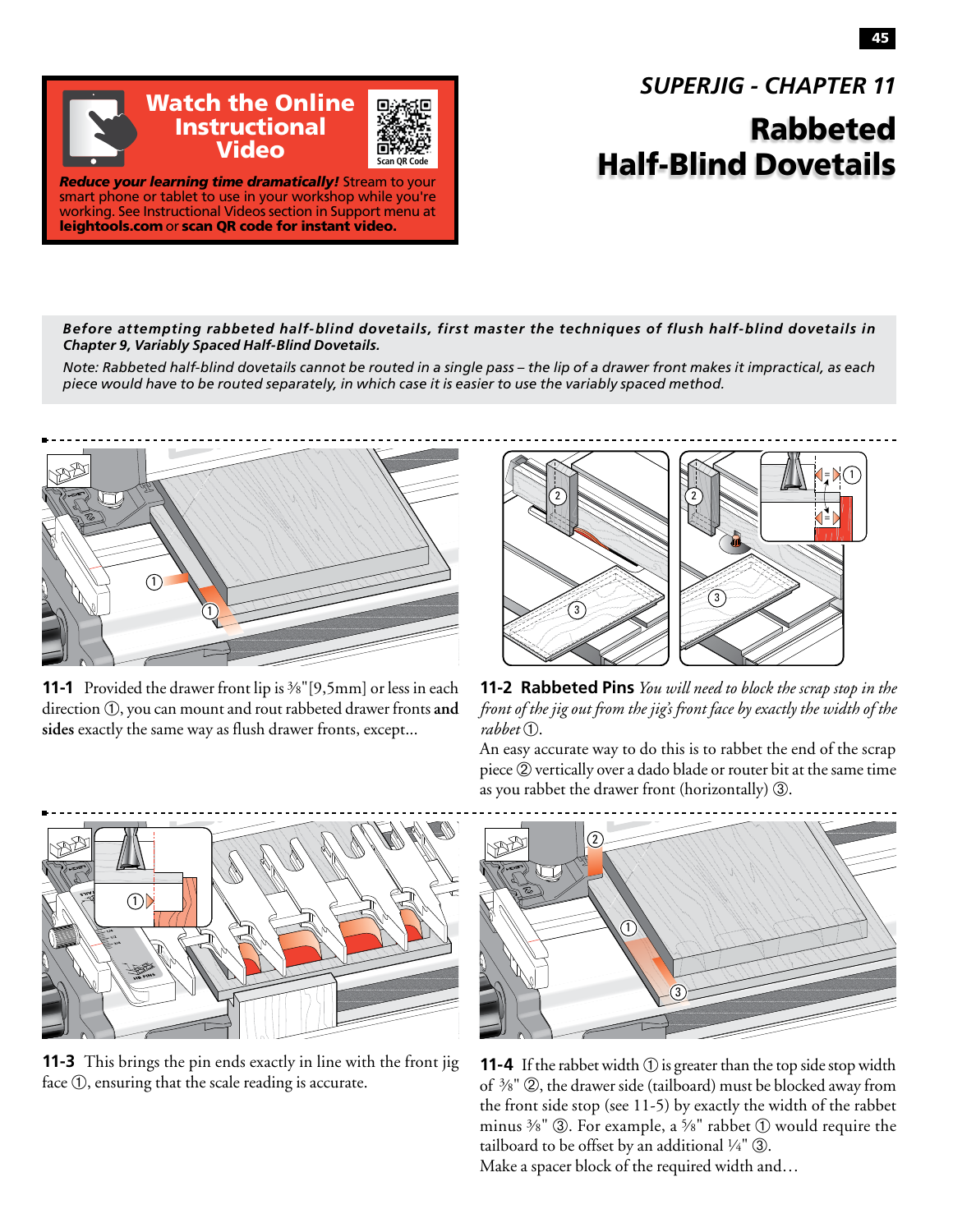*SUPERJIG - CHAPTER 11*

## Rabbeted Half-Blind Dovetails

*Reduce your learning time dramatically!* Stream to your smart phone or tablet to use in your workshop while you're working. See Instructional Videos section in Support menu at leightools.com or scan QR code for instant video.

Watch the Online Instructional Video

*Before attempting rabbeted half-blind dovetails, first master the techniques of flush half-blind dovetails in Chapter 9, Variably Spaced Half-Blind Dovetails.*

**Scan QR Code**

*Note: Rabbeted half-blind dovetails cannot be routed in a single pass – the lip of a drawer front makes it impractical, as each piece would have to be routed separately, in which case it is easier to use the variably spaced method.*



**11-1** Provided the drawer front lip is <sup>3</sup>/8"[9,5mm] or less in each direction  $(1)$ , you can mount and rout rabbeted drawer fronts and **sides** exactly the same way as flush drawer fronts, except...



**11-2 Rabbeted Pins** *You will need to block the scrap stop in the front of the jig out from the jig's front face by exactly the width of the*   $rabbet$  $(1)$ .

An easy accurate way to do this is to rabbet the end of the scrap piece ➁ vertically over a dado blade or router bit at the same time as you rabbet the drawer front (horizontally) 3.



**11-3** This brings the pin ends exactly in line with the front jig face ①, ensuring that the scale reading is accurate.



**11-4** If the rabbet width  $\circled{1}$  is greater than the top side stop width of 3⁄8" ➁, the drawer side (tailboard) must be blocked away from the front side stop (see 11-5) by exactly the width of the rabbet minus  $\frac{3}{8}$ "  $\circled{3}$ . For example, a  $\frac{5}{8}$ " rabbet  $\circled{1}$  would require the tailboard to be offset by an additional  $\frac{1}{4}$ "  $\circledA$ . Make a spacer block of the required width and…